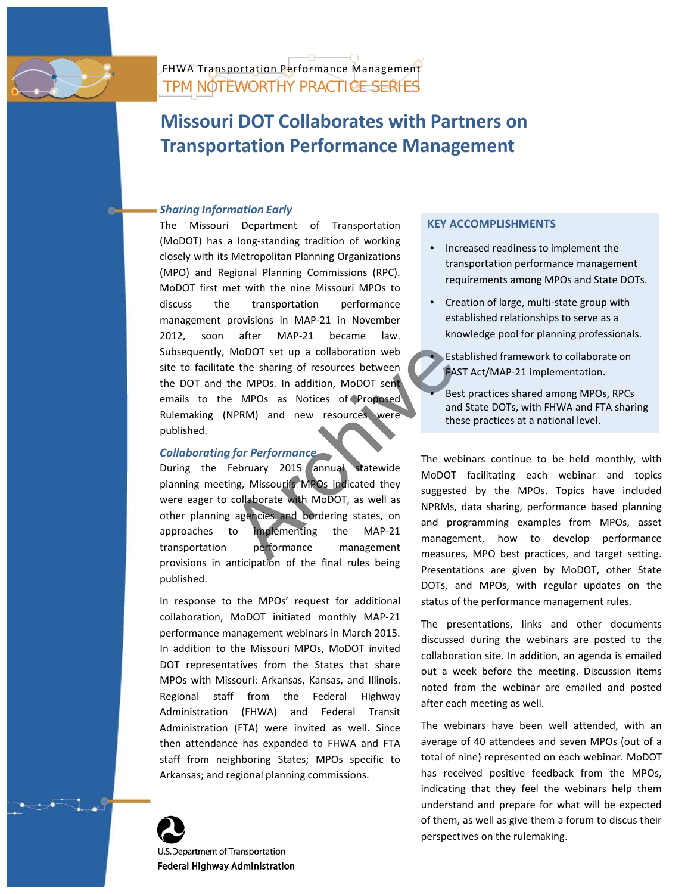

TPM NOTEWORTHY PRACTICE SERIES FHWA Transportation Performance Management

# **Missouri DOT Collaborates with Partners on Transportation Performance Management**

### *Sharing Information Early*

The Missouri Department of Transportation (MoDOT) has a long-standing tradition of working closely with its Metropolitan Planning Organizations (MPO) and Regional Planning Commissions (RPC). MoDOT first met with the nine Missouri MPOs to discuss the transportation performance management provisions in MAP-21 in November 2012, soon after MAP-21 became law. Subsequently, MoDOT set up a collaboration web site to facilitate the sharing of resources between the DOT and the MPOs. In addition, MoDOT sent emails to the MPOs as Notices of Proposed Rulemaking (NPRM) and new resources were published.

## *Collaborating for Performance*

MoDOT set up a collaboration web<br>
e the sharing of resources between<br>
the MPOs as Notices of Proposed<br>
NPRM) and new resources were<br>
MPRM) and new resources were<br>
The webinand state is these<br>
The webinand state is these<br>
T During the February 2015 annual statewide planning meeting, Missouri's MPOs indicated they were eager to collaborate with MoDOT, as well as other planning agencies and bordering states, on approaches to implementing the MAP-21 transportation performance management provisions in anticipation of the final rules being published.

In response to the MPOs' request for additional collaboration, MoDOT initiated monthly MAP-21 performance management webinars in March 2015. In addition to the Missouri MPOs, MoDOT invited DOT representatives from the States that share MPOs with Missouri: Arkansas, Kansas, and Illinois. Regional staff from the Federal Highway Administration (FHWA) and Federal Transit Administration (FTA) were invited as well. Since then attendance has expanded to FHWA and FTA staff from neighboring States; MPOs specific to Arkansas; and regional planning commissions.



U.S. Department of Transportation **Federal Highway Administration** 

### **KEY ACCOMPLISHMENTS**

- Increased readiness to implement the transportation performance management requirements among MPOs and State DOTs.
- Creation of large, multi-state group with established relationships to serve as a knowledge pool for planning professionals.
	- Established framework to collaborate on FAST Act/MAP-21 implementation.
	- Best practices shared among MPOs, RPCs and State DOTs, with FHWA and FTA sharing these practices at a national level.

The webinars continue to be held monthly, with MoDOT facilitating each webinar and topics suggested by the MPOs. Topics have included NPRMs, data sharing, performance based planning and programming examples from MPOs, asset management, how to develop performance measures, MPO best practices, and target setting. Presentations are given by MoDOT, other State DOTs, and MPOs, with regular updates on the status of the performance management rules.

The presentations, links and other documents discussed during the webinars are posted to the collaboration site. In addition, an agenda is emailed out a week before the meeting. Discussion items noted from the webinar are emailed and posted after each meeting as well.

The webinars have been well attended, with an average of 40 attendees and seven MPOs (out of a total of nine) represented on each webinar. MoDOT has received positive feedback from the MPOs, indicating that they feel the webinars help them understand and prepare for what will be expected of them, as well as give them a forum to discus their perspectives on the rulemaking.